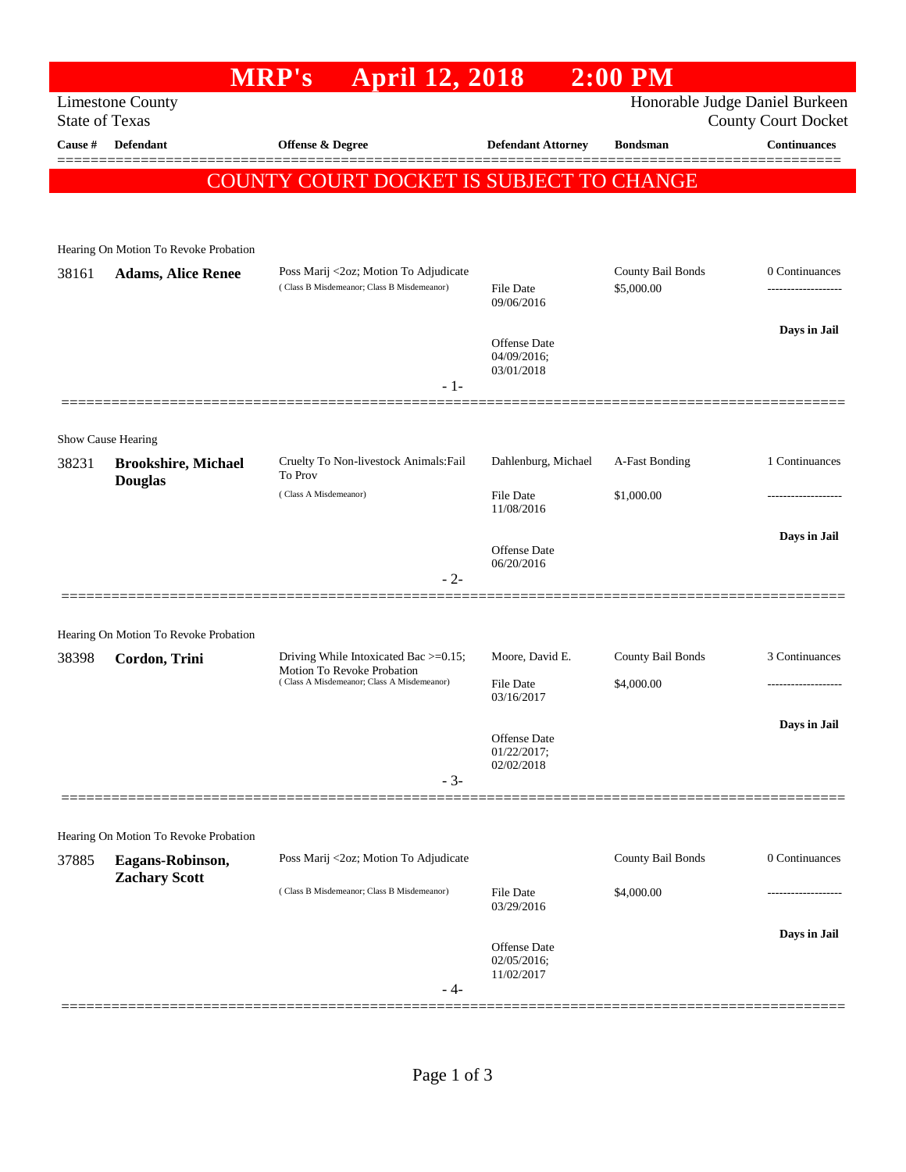## **MRP's April 12, 2018 2:00 PM** Limestone County Honorable Judge Daniel Burkeen State of Texas County Court Docket **Cause # Defendant Offense & Degree Defendant Attorney Bondsman Continuances** ============================================================================================== COUNTY COURT DOCKET IS SUBJECT TO CHANGE Hearing On Motion To Revoke Probation 38161 **Adams, Alice Renee** Poss Marij <2oz; Motion To Adjudicate County Bail Bonds 0 Continuances ( Class B Misdemeanor; Class B Misdemeanor) File Date \$5,000.00 ------------------- 09/06/2016 **Days in Jail**  Offense Date 04/09/2016; 03/01/2018 - 1- ============================================================================================== Show Cause Hearing 38231 **Brookshire, Michael Douglas** Cruelty To Non-livestock Animals:Fail To Prov Dahlenburg, Michael A-Fast Bonding 1 Continuances  $( Class A Misdemeanor)$   $File Date$   $$1,000.00$ 11/08/2016 **Days in Jail**  Offense Date 06/20/2016 - 2- ============================================================================================== Hearing On Motion To Revoke Probation 38398 **Cordon, Trini** Driving While Intoxicated Bac >=0.15; Motion To Revoke Probation Moore, David E. County Bail Bonds 3 Continuances ( Class A Misdemeanor; Class A Misdemeanor) File Date \$4,000.00 03/16/2017 **Days in Jail**  Offense Date 01/22/2017; 02/02/2018 - 3- ============================================================================================== Hearing On Motion To Revoke Probation 37885 **Eagans-Robinson, Zachary Scott** Poss Marij <2oz; Motion To Adjudicate County Bail Bonds 0 Continuances ( Class B Misdemeanor; Class B Misdemeanor) File Date \$4,000.00 ------------------- 03/29/2016 **Days in Jail**  Offense Date 02/05/2016; 11/02/2017 - 4- ==============================================================================================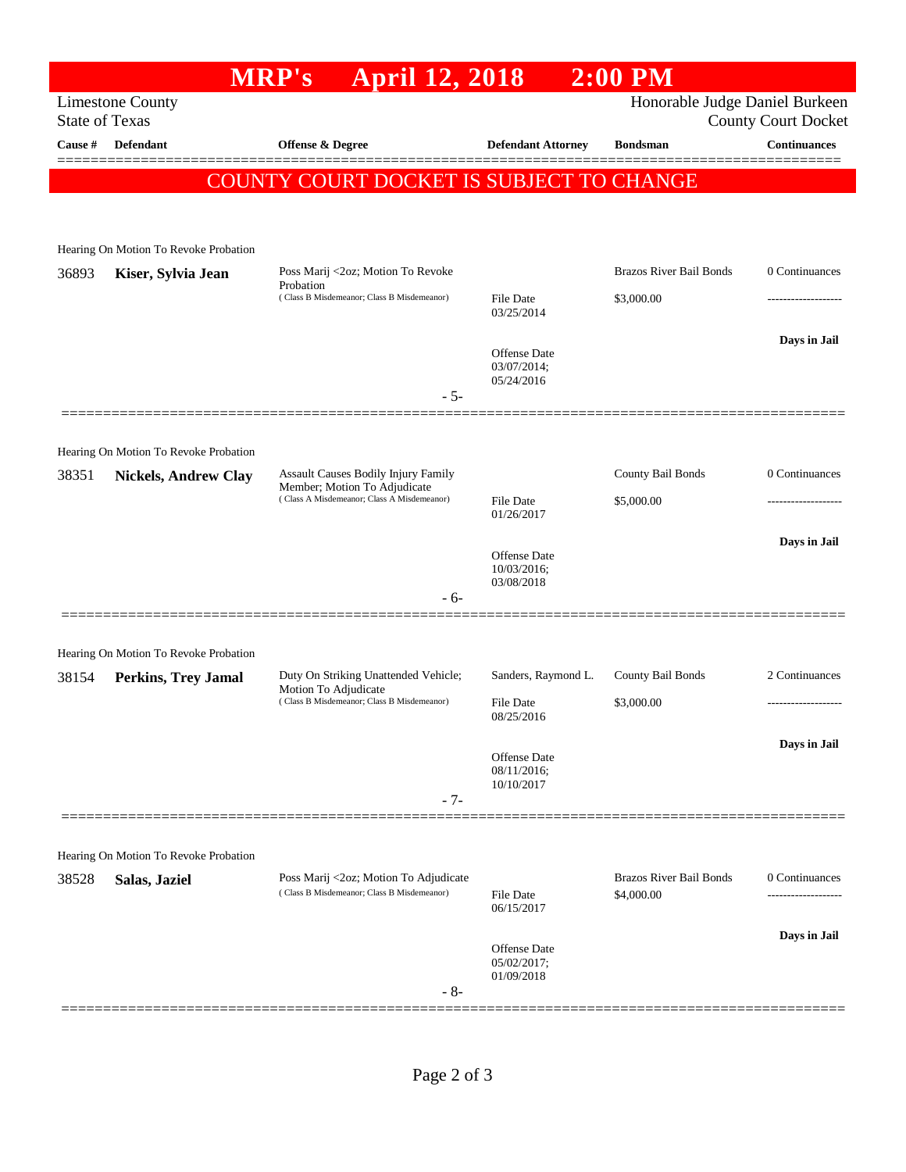|                       |                                                                      | <b>April 12, 2018</b><br><b>MRP's</b>                                                                             |                                                  | $2:00$ PM                                                    |                     |  |
|-----------------------|----------------------------------------------------------------------|-------------------------------------------------------------------------------------------------------------------|--------------------------------------------------|--------------------------------------------------------------|---------------------|--|
| <b>State of Texas</b> | <b>Limestone County</b>                                              |                                                                                                                   |                                                  | Honorable Judge Daniel Burkeen<br><b>County Court Docket</b> |                     |  |
| Cause #               | <b>Defendant</b>                                                     | <b>Offense &amp; Degree</b>                                                                                       | <b>Defendant Attorney</b>                        | <b>Bondsman</b>                                              | <b>Continuances</b> |  |
|                       |                                                                      | COUNTY COURT DOCKET IS SUBJECT TO CHANGE                                                                          |                                                  |                                                              |                     |  |
|                       |                                                                      |                                                                                                                   |                                                  |                                                              |                     |  |
|                       | Hearing On Motion To Revoke Probation                                |                                                                                                                   |                                                  |                                                              |                     |  |
| 36893                 | Kiser, Sylvia Jean                                                   | Poss Marij <2oz; Motion To Revoke                                                                                 |                                                  | <b>Brazos River Bail Bonds</b>                               | 0 Continuances      |  |
|                       |                                                                      | Probation<br>(Class B Misdemeanor; Class B Misdemeanor)                                                           | File Date<br>03/25/2014                          | \$3,000.00                                                   | .                   |  |
|                       |                                                                      |                                                                                                                   | Offense Date                                     |                                                              | Days in Jail        |  |
|                       |                                                                      |                                                                                                                   | 03/07/2014;<br>05/24/2016                        |                                                              |                     |  |
|                       |                                                                      | $-5-$                                                                                                             |                                                  |                                                              |                     |  |
|                       |                                                                      |                                                                                                                   |                                                  |                                                              |                     |  |
| 38351                 | Hearing On Motion To Revoke Probation<br><b>Nickels, Andrew Clay</b> | Assault Causes Bodily Injury Family<br>Member; Motion To Adjudicate<br>(Class A Misdemeanor; Class A Misdemeanor) |                                                  | County Bail Bonds                                            | 0 Continuances      |  |
|                       |                                                                      |                                                                                                                   | File Date                                        | \$5,000.00                                                   | .                   |  |
|                       |                                                                      |                                                                                                                   | 01/26/2017                                       |                                                              |                     |  |
|                       |                                                                      |                                                                                                                   | <b>Offense</b> Date<br>10/03/2016;<br>03/08/2018 |                                                              | Days in Jail        |  |
|                       |                                                                      | - 6-                                                                                                              |                                                  |                                                              |                     |  |
|                       |                                                                      |                                                                                                                   |                                                  |                                                              |                     |  |
| 38154                 | Hearing On Motion To Revoke Probation<br><b>Perkins, Trey Jamal</b>  | Duty On Striking Unattended Vehicle;<br>Motion To Adjudicate<br>(Class B Misdemeanor; Class B Misdemeanor)        | Sanders, Raymond L.                              | County Bail Bonds                                            | 2 Continuances      |  |
|                       |                                                                      |                                                                                                                   | <b>File Date</b>                                 | \$3,000.00                                                   |                     |  |
|                       |                                                                      |                                                                                                                   | 08/25/2016                                       |                                                              |                     |  |
|                       |                                                                      |                                                                                                                   | <b>Offense</b> Date<br>08/11/2016;               |                                                              | Days in Jail        |  |
|                       |                                                                      | $-7-$                                                                                                             | 10/10/2017                                       |                                                              |                     |  |
|                       |                                                                      |                                                                                                                   |                                                  |                                                              |                     |  |
|                       | Hearing On Motion To Revoke Probation                                |                                                                                                                   |                                                  |                                                              |                     |  |
| 38528                 | Salas, Jaziel                                                        | Poss Marij <2oz; Motion To Adjudicate<br>(Class B Misdemeanor; Class B Misdemeanor)                               | <b>File Date</b><br>06/15/2017                   | <b>Brazos River Bail Bonds</b><br>\$4,000.00                 | 0 Continuances      |  |
|                       |                                                                      |                                                                                                                   |                                                  |                                                              | Days in Jail        |  |
|                       |                                                                      |                                                                                                                   | Offense Date<br>05/02/2017;<br>01/09/2018        |                                                              |                     |  |
|                       |                                                                      | $-8-$                                                                                                             |                                                  |                                                              |                     |  |